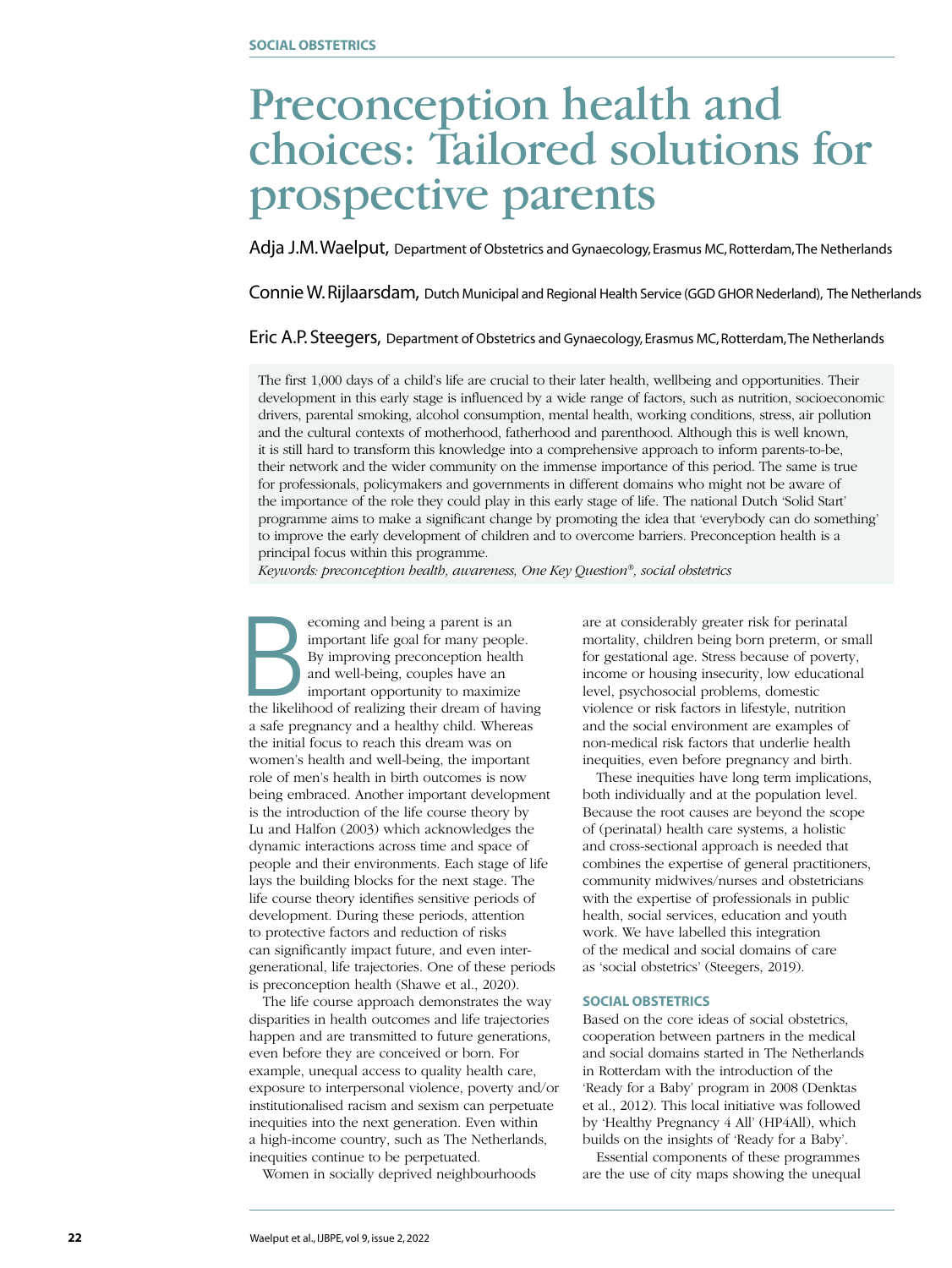## Preconception health and choices: Tailored solutions for prospective parents

Adja J.M. Waelput, Department of Obstetrics and Gynaecology, Erasmus MC, Rotterdam, The Netherlands

Connie W. Rijlaarsdam, Dutch Municipal and Regional Health Service (GGD GHOR Nederland), The Netherlands

#### Eric A.P. Steegers, Department of Obstetrics and Gynaecology, Erasmus MC, Rotterdam, The Netherlands

The first 1,000 days of a child's life are crucial to their later health, wellbeing and opportunities. Their development in this early stage is influenced by a wide range of factors, such as nutrition, socioeconomic drivers, parental smoking, alcohol consumption, mental health, working conditions, stress, air pollution and the cultural contexts of motherhood, fatherhood and parenthood. Although this is well known, it is still hard to transform this knowledge into a comprehensive approach to inform parents-to-be, their network and the wider community on the immense importance of this period. The same is true for professionals, policymakers and governments in different domains who might not be aware of the importance of the role they could play in this early stage of life. The national Dutch 'Solid Start' programme aims to make a significant change by promoting the idea that 'everybody can do something' to improve the early development of children and to overcome barriers. Preconception health is a principal focus within this programme.

*Keywords: preconception health, awareness, One Key Question®, social obstetrics*

Ecoming and being a parent is an important life goal for many people.<br>By improving preconception health and well-being, couples have an important opportunity to maximize the likelihood of realizing their dream of having important life goal for many people. By improving preconception health and well-being, couples have an important opportunity to maximize a safe pregnancy and a healthy child. Whereas the initial focus to reach this dream was on women's health and well-being, the important role of men's health in birth outcomes is now being embraced. Another important development is the introduction of the life course theory by Lu and Halfon (2003) which acknowledges the dynamic interactions across time and space of people and their environments. Each stage of life lays the building blocks for the next stage. The life course theory identifies sensitive periods of development. During these periods, attention to protective factors and reduction of risks can significantly impact future, and even intergenerational, life trajectories. One of these periods is preconception health (Shawe et al., 2020).

The life course approach demonstrates the way disparities in health outcomes and life trajectories happen and are transmitted to future generations, even before they are conceived or born. For example, unequal access to quality health care, exposure to interpersonal violence, poverty and/or institutionalised racism and sexism can perpetuate inequities into the next generation. Even within a high-income country, such as The Netherlands, inequities continue to be perpetuated.

Women in socially deprived neighbourhoods

are at considerably greater risk for perinatal mortality, children being born preterm, or small for gestational age. Stress because of poverty, income or housing insecurity, low educational level, psychosocial problems, domestic violence or risk factors in lifestyle, nutrition and the social environment are examples of non-medical risk factors that underlie health inequities, even before pregnancy and birth.

These inequities have long term implications, both individually and at the population level. Because the root causes are beyond the scope of (perinatal) health care systems, a holistic and cross-sectional approach is needed that combines the expertise of general practitioners, community midwives/nurses and obstetricians with the expertise of professionals in public health, social services, education and youth work. We have labelled this integration of the medical and social domains of care as 'social obstetrics' (Steegers, 2019).

#### **SOCIAL OBSTETRICS**

Based on the core ideas of social obstetrics, cooperation between partners in the medical and social domains started in The Netherlands in Rotterdam with the introduction of the 'Ready for a Baby' program in 2008 (Denktas et al., 2012). This local initiative was followed by 'Healthy Pregnancy 4 All' (HP4All), which builds on the insights of 'Ready for a Baby'.

Essential components of these programmes are the use of city maps showing the unequal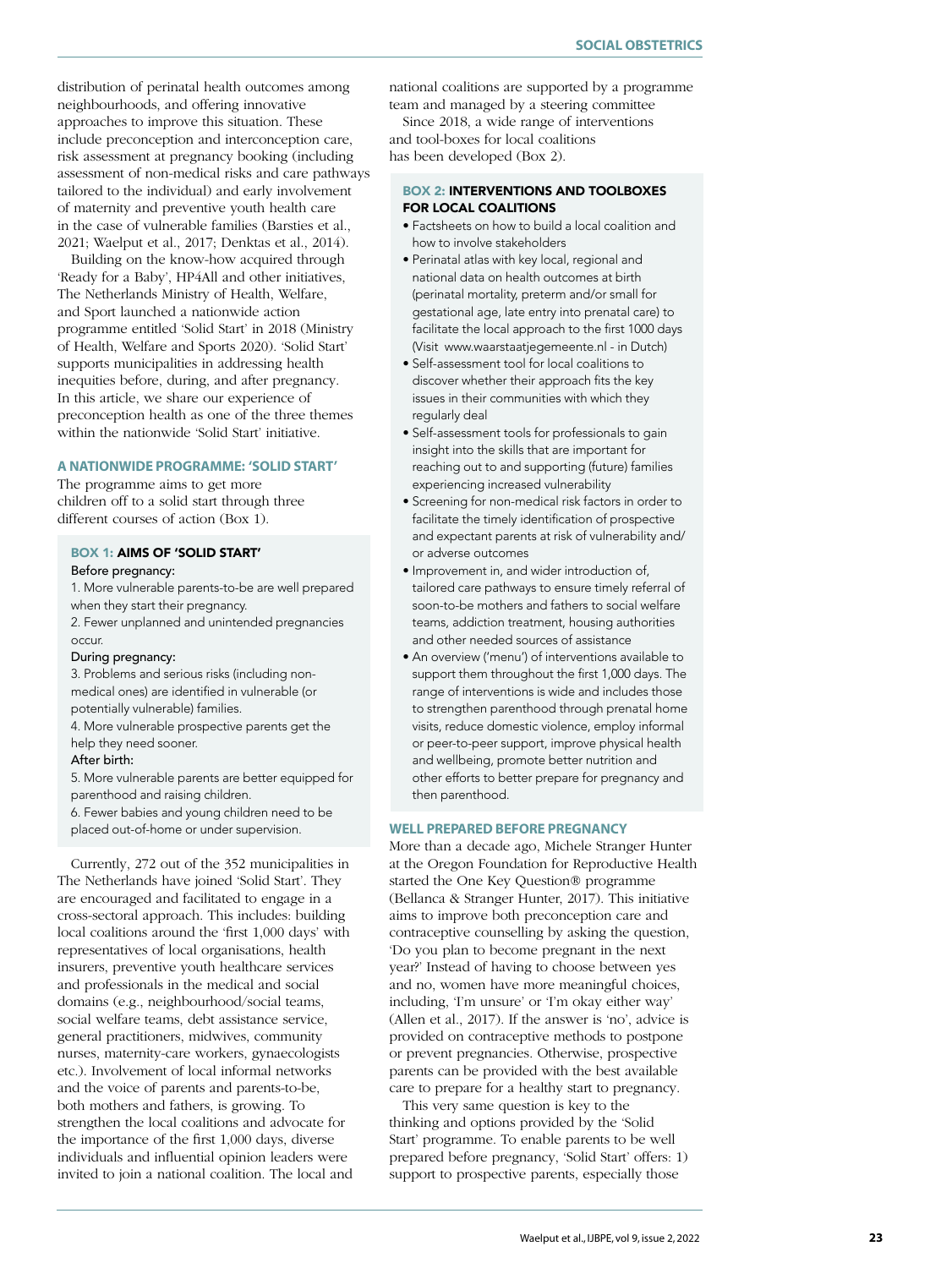distribution of perinatal health outcomes among neighbourhoods, and offering innovative approaches to improve this situation. These include preconception and interconception care, risk assessment at pregnancy booking (including assessment of non-medical risks and care pathways tailored to the individual) and early involvement of maternity and preventive youth health care in the case of vulnerable families (Barsties et al., 2021; Waelput et al., 2017; Denktas et al., 2014).

Building on the know-how acquired through 'Ready for a Baby', HP4All and other initiatives, The Netherlands Ministry of Health, Welfare, and Sport launched a nationwide action programme entitled 'Solid Start' in 2018 (Ministry of Health, Welfare and Sports 2020). 'Solid Start' supports municipalities in addressing health inequities before, during, and after pregnancy. In this article, we share our experience of preconception health as one of the three themes within the nationwide 'Solid Start' initiative.

#### **A NATIONWIDE PROGRAMME: 'SOLID START'**

The programme aims to get more children off to a solid start through three different courses of action (Box 1).

#### BOX 1: AIMS OF 'SOLID START'

#### Before pregnancy:

1. More vulnerable parents-to-be are well prepared when they start their pregnancy.

2. Fewer unplanned and unintended pregnancies occur.

#### During pregnancy:

3. Problems and serious risks (including nonmedical ones) are identified in vulnerable (or potentially vulnerable) families.

4. More vulnerable prospective parents get the help they need sooner.

#### After birth:

5. More vulnerable parents are better equipped for parenthood and raising children.

6. Fewer babies and young children need to be placed out-of-home or under supervision.

Currently, 272 out of the 352 municipalities in The Netherlands have joined 'Solid Start'. They are encouraged and facilitated to engage in a cross-sectoral approach. This includes: building local coalitions around the 'first 1,000 days' with representatives of local organisations, health insurers, preventive youth healthcare services and professionals in the medical and social domains (e.g., neighbourhood/social teams, social welfare teams, debt assistance service, general practitioners, midwives, community nurses, maternity-care workers, gynaecologists etc.). Involvement of local informal networks and the voice of parents and parents-to-be, both mothers and fathers, is growing. To strengthen the local coalitions and advocate for the importance of the first 1,000 days, diverse individuals and influential opinion leaders were invited to join a national coalition. The local and

national coalitions are supported by a programme team and managed by a steering committee

Since 2018, a wide range of interventions and tool-boxes for local coalitions has been developed (Box 2).

#### BOX 2: INTERVENTIONS AND TOOLBOXES FOR LOCAL COALITIONS

- Factsheets on how to build a local coalition and how to involve stakeholders
- Perinatal atlas with key local, regional and national data on health outcomes at birth (perinatal mortality, preterm and/or small for gestational age, late entry into prenatal care) to facilitate the local approach to the first 1000 days (Visit www.waarstaatjegemeente.nl - in Dutch)
- Self-assessment tool for local coalitions to discover whether their approach fits the key issues in their communities with which they regularly deal
- Self-assessment tools for professionals to gain insight into the skills that are important for reaching out to and supporting (future) families experiencing increased vulnerability
- Screening for non-medical risk factors in order to facilitate the timely identification of prospective and expectant parents at risk of vulnerability and/ or adverse outcomes
- Improvement in, and wider introduction of, tailored care pathways to ensure timely referral of soon-to-be mothers and fathers to social welfare teams, addiction treatment, housing authorities and other needed sources of assistance
- An overview ('menu') of interventions available to support them throughout the first 1,000 days. The range of interventions is wide and includes those to strengthen parenthood through prenatal home visits, reduce domestic violence, employ informal or peer-to-peer support, improve physical health and wellbeing, promote better nutrition and other efforts to better prepare for pregnancy and then parenthood.

#### **WELL PREPARED BEFORE PREGNANCY**

More than a decade ago, Michele Stranger Hunter at the Oregon Foundation for Reproductive Health started the One Key Question® programme (Bellanca & Stranger Hunter, 2017). This initiative aims to improve both preconception care and contraceptive counselling by asking the question, 'Do you plan to become pregnant in the next year?' Instead of having to choose between yes and no, women have more meaningful choices, including, 'I'm unsure' or 'I'm okay either way' (Allen et al., 2017). If the answer is 'no', advice is provided on contraceptive methods to postpone or prevent pregnancies. Otherwise, prospective parents can be provided with the best available care to prepare for a healthy start to pregnancy.

This very same question is key to the thinking and options provided by the 'Solid Start' programme. To enable parents to be well prepared before pregnancy, 'Solid Start' offers: 1) support to prospective parents, especially those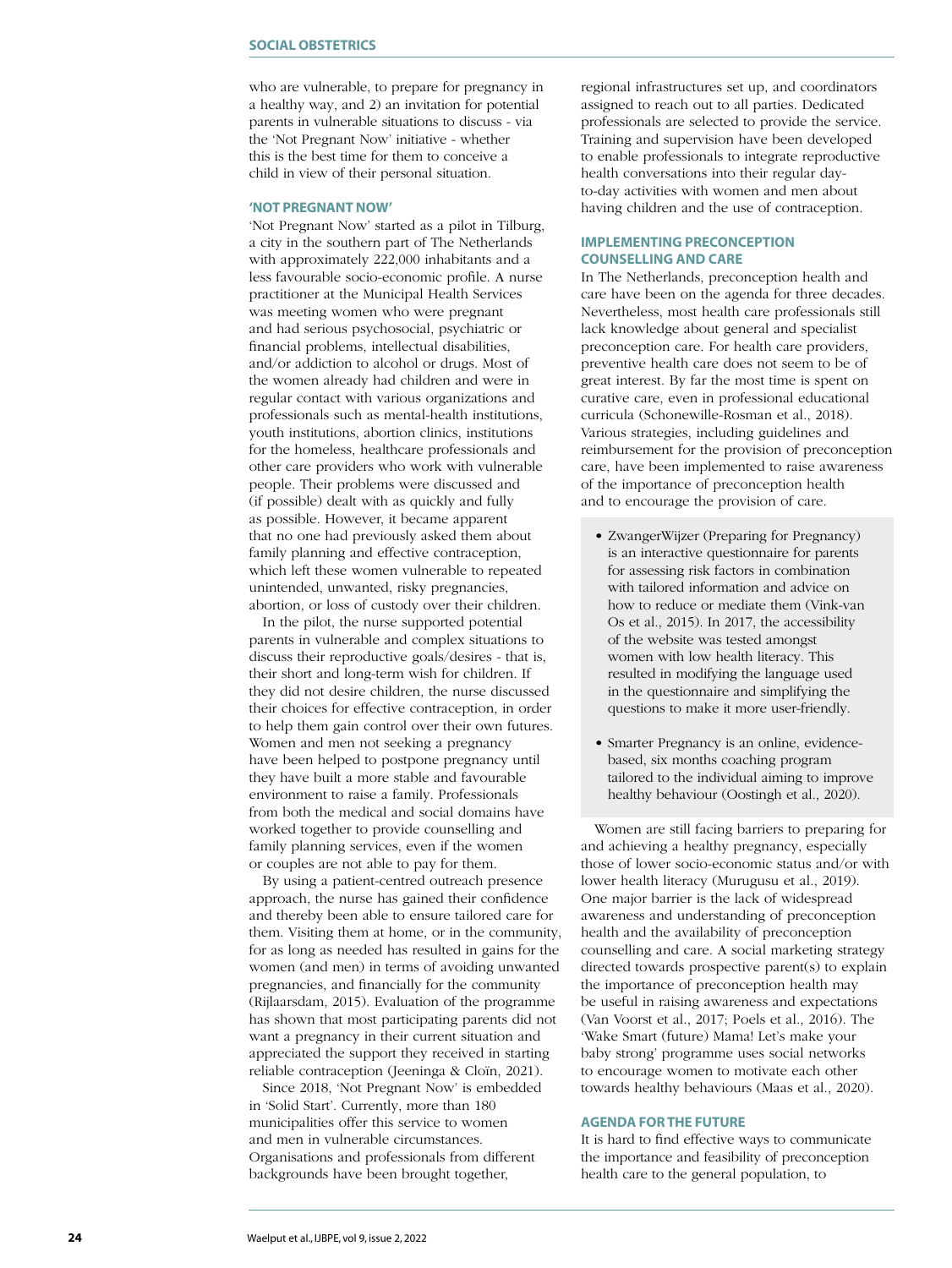who are vulnerable, to prepare for pregnancy in a healthy way, and 2) an invitation for potential parents in vulnerable situations to discuss - via the 'Not Pregnant Now' initiative - whether this is the best time for them to conceive a child in view of their personal situation.

#### **'NOT PREGNANT NOW'**

'Not Pregnant Now' started as a pilot in Tilburg, a city in the southern part of The Netherlands with approximately 222,000 inhabitants and a less favourable socio-economic profile. A nurse practitioner at the Municipal Health Services was meeting women who were pregnant and had serious psychosocial, psychiatric or financial problems, intellectual disabilities, and/or addiction to alcohol or drugs. Most of the women already had children and were in regular contact with various organizations and professionals such as mental-health institutions, youth institutions, abortion clinics, institutions for the homeless, healthcare professionals and other care providers who work with vulnerable people. Their problems were discussed and (if possible) dealt with as quickly and fully as possible. However, it became apparent that no one had previously asked them about family planning and effective contraception, which left these women vulnerable to repeated unintended, unwanted, risky pregnancies, abortion, or loss of custody over their children.

In the pilot, the nurse supported potential parents in vulnerable and complex situations to discuss their reproductive goals/desires - that is, their short and long-term wish for children. If they did not desire children, the nurse discussed their choices for effective contraception, in order to help them gain control over their own futures. Women and men not seeking a pregnancy have been helped to postpone pregnancy until they have built a more stable and favourable environment to raise a family. Professionals from both the medical and social domains have worked together to provide counselling and family planning services, even if the women or couples are not able to pay for them.

By using a patient-centred outreach presence approach, the nurse has gained their confidence and thereby been able to ensure tailored care for them. Visiting them at home, or in the community, for as long as needed has resulted in gains for the women (and men) in terms of avoiding unwanted pregnancies, and financially for the community (Rijlaarsdam, 2015). Evaluation of the programme has shown that most participating parents did not want a pregnancy in their current situation and appreciated the support they received in starting reliable contraception (Jeeninga & Cloïn, 2021).

Since 2018, 'Not Pregnant Now' is embedded in 'Solid Start'. Currently, more than 180 municipalities offer this service to women and men in vulnerable circumstances. Organisations and professionals from different backgrounds have been brought together,

regional infrastructures set up, and coordinators assigned to reach out to all parties. Dedicated professionals are selected to provide the service. Training and supervision have been developed to enable professionals to integrate reproductive health conversations into their regular dayto-day activities with women and men about having children and the use of contraception.

#### **IMPLEMENTING PRECONCEPTION COUNSELLING AND CARE**

In The Netherlands, preconception health and care have been on the agenda for three decades. Nevertheless, most health care professionals still lack knowledge about general and specialist preconception care. For health care providers, preventive health care does not seem to be of great interest. By far the most time is spent on curative care, even in professional educational curricula (Schonewille-Rosman et al., 2018). Various strategies, including guidelines and reimbursement for the provision of preconception care, have been implemented to raise awareness of the importance of preconception health and to encourage the provision of care.

- ZwangerWijzer (Preparing for Pregnancy) is an interactive questionnaire for parents for assessing risk factors in combination with tailored information and advice on how to reduce or mediate them (Vink-van Os et al., 2015). In 2017, the accessibility of the website was tested amongst women with low health literacy. This resulted in modifying the language used in the questionnaire and simplifying the questions to make it more user-friendly.
- Smarter Pregnancy is an online, evidencebased, six months coaching program tailored to the individual aiming to improve healthy behaviour (Oostingh et al., 2020).

Women are still facing barriers to preparing for and achieving a healthy pregnancy, especially those of lower socio-economic status and/or with lower health literacy (Murugusu et al., 2019). One major barrier is the lack of widespread awareness and understanding of preconception health and the availability of preconception counselling and care. A social marketing strategy directed towards prospective parent(s) to explain the importance of preconception health may be useful in raising awareness and expectations (Van Voorst et al., 2017; Poels et al., 2016). The 'Wake Smart (future) Mama! Let's make your baby strong' programme uses social networks to encourage women to motivate each other towards healthy behaviours (Maas et al., 2020).

#### **AGENDA FOR THE FUTURE**

It is hard to find effective ways to communicate the importance and feasibility of preconception health care to the general population, to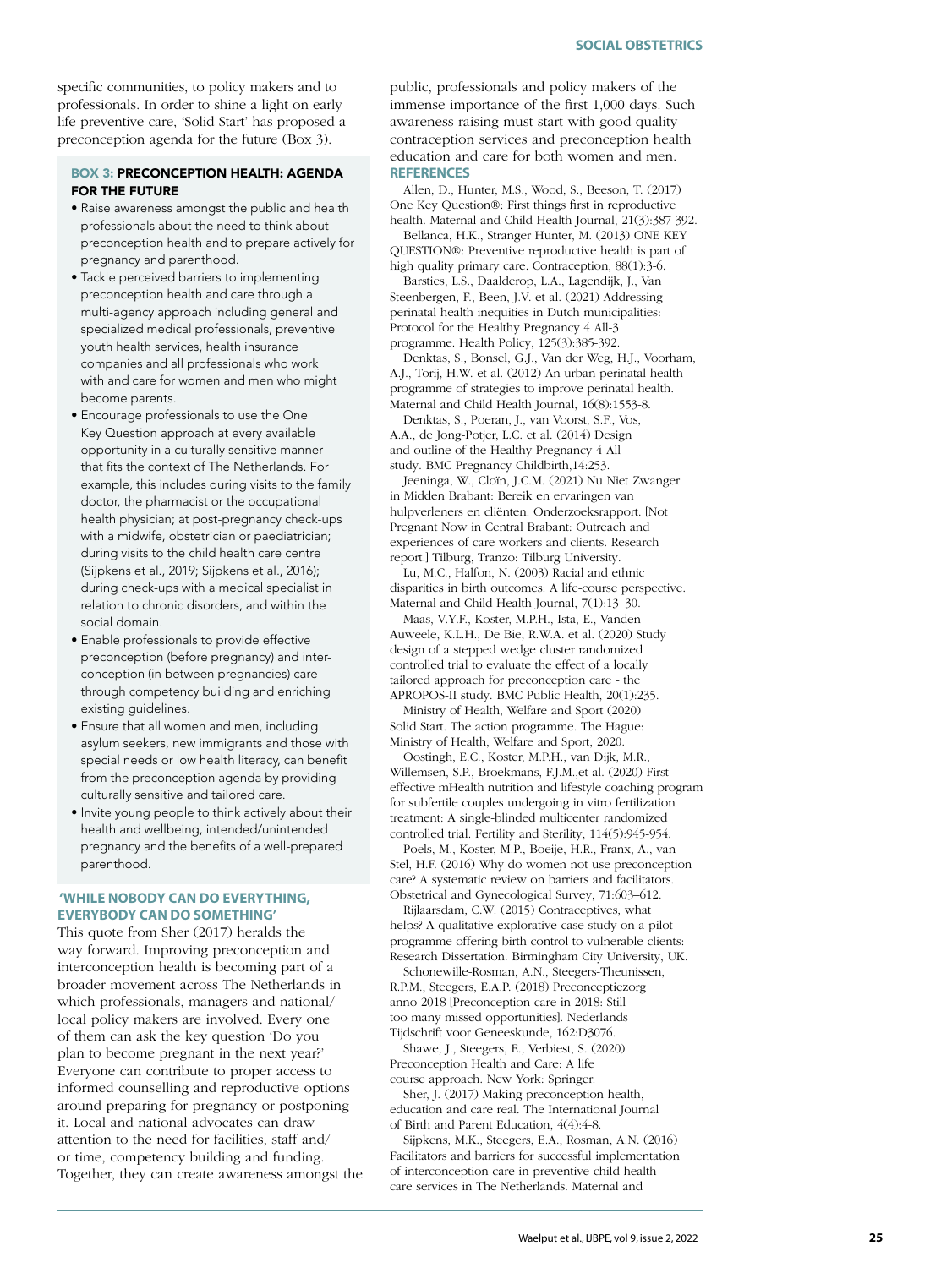specific communities, to policy makers and to professionals. In order to shine a light on early life preventive care, 'Solid Start' has proposed a preconception agenda for the future (Box 3).

#### BOX 3: PRECONCEPTION HEALTH: AGENDA FOR THE FUTURE

- Raise awareness amongst the public and health professionals about the need to think about preconception health and to prepare actively for pregnancy and parenthood.
- Tackle perceived barriers to implementing preconception health and care through a multi-agency approach including general and specialized medical professionals, preventive youth health services, health insurance companies and all professionals who work with and care for women and men who might become parents.
- Encourage professionals to use the One Key Question approach at every available opportunity in a culturally sensitive manner that fits the context of The Netherlands. For example, this includes during visits to the family doctor, the pharmacist or the occupational health physician; at post-pregnancy check-ups with a midwife, obstetrician or paediatrician; during visits to the child health care centre (Sijpkens et al., 2019; Sijpkens et al., 2016); during check-ups with a medical specialist in relation to chronic disorders, and within the social domain.
- Enable professionals to provide effective preconception (before pregnancy) and interconception (in between pregnancies) care through competency building and enriching existing guidelines.
- Ensure that all women and men, including asylum seekers, new immigrants and those with special needs or low health literacy, can benefit from the preconception agenda by providing culturally sensitive and tailored care.
- Invite young people to think actively about their health and wellbeing, intended/unintended pregnancy and the benefits of a well-prepared parenthood.

#### **'WHILE NOBODY CAN DO EVERYTHING, EVERYBODY CAN DO SOMETHING'**

This quote from Sher (2017) heralds the way forward. Improving preconception and interconception health is becoming part of a broader movement across The Netherlands in which professionals, managers and national/ local policy makers are involved. Every one of them can ask the key question 'Do you plan to become pregnant in the next year?' Everyone can contribute to proper access to informed counselling and reproductive options around preparing for pregnancy or postponing it. Local and national advocates can draw attention to the need for facilities, staff and/ or time, competency building and funding. Together, they can create awareness amongst the public, professionals and policy makers of the immense importance of the first 1,000 days. Such awareness raising must start with good quality contraception services and preconception health education and care for both women and men. **REFERENCES**

Allen, D., Hunter, M.S., Wood, S., Beeson, T. (2017) One Key Question®: First things first in reproductive health. Maternal and Child Health Journal, 21(3):387-392.

Bellanca, H.K., Stranger Hunter, M. (2013) ONE KEY QUESTION®: Preventive reproductive health is part of high quality primary care. Contraception, 88(1):3-6.

Barsties, L.S., Daalderop, L.A., Lagendijk, J., Van Steenbergen, F., Been, J.V. et al. (2021) Addressing perinatal health inequities in Dutch municipalities: Protocol for the Healthy Pregnancy 4 All-3 programme. Health Policy, 125(3):385-392.

Denktas, S., Bonsel, G.J., Van der Weg, H.J., Voorham, A.J., Torij, H.W. et al. (2012) An urban perinatal health programme of strategies to improve perinatal health. Maternal and Child Health Journal, 16(8):1553-8.

Denktas, S., Poeran, J., van Voorst, S.F., Vos, A.A., de Jong-Potjer, L.C. et al. (2014) Design and outline of the Healthy Pregnancy 4 All study. BMC Pregnancy Childbirth,14:253.

Jeeninga, W., Cloïn, J.C.M. (2021) Nu Niet Zwanger in Midden Brabant: Bereik en ervaringen van hulpverleners en cliënten. Onderzoeksrapport. [Not Pregnant Now in Central Brabant: Outreach and experiences of care workers and clients. Research report.] Tilburg, Tranzo: Tilburg University.

Lu, M.C., Halfon, N. (2003) Racial and ethnic disparities in birth outcomes: A life-course perspective. Maternal and Child Health Journal, 7(1):13–30.

Maas, V.Y.F., Koster, M.P.H., Ista, E., Vanden Auweele, K.L.H., De Bie, R.W.A. et al. (2020) Study design of a stepped wedge cluster randomized controlled trial to evaluate the effect of a locally tailored approach for preconception care - the APROPOS-II study. BMC Public Health, 20(1):235.

Ministry of Health, Welfare and Sport (2020) Solid Start. The action programme. The Hague: Ministry of Health, Welfare and Sport, 2020.

Oostingh, E.C., Koster, M.P.H., van Dijk, M.R., Willemsen, S.P., Broekmans, F.J.M.,et al. (2020) First effective mHealth nutrition and lifestyle coaching program for subfertile couples undergoing in vitro fertilization treatment: A single-blinded multicenter randomized controlled trial. Fertility and Sterility, 114(5):945-954.

Poels, M., Koster, M.P., Boeije, H.R., Franx, A., van Stel, H.F. (2016) Why do women not use preconception care? A systematic review on barriers and facilitators. Obstetrical and Gynecological Survey, 71:603–612.

Rijlaarsdam, C.W. (2015) Contraceptives, what helps? A qualitative explorative case study on a pilot programme offering birth control to vulnerable clients: Research Dissertation. Birmingham City University, UK.

Schonewille-Rosman, A.N., Steegers-Theunissen, R.P.M., Steegers, E.A.P. (2018) Preconceptiezorg anno 2018 [Preconception care in 2018: Still too many missed opportunities]. Nederlands Tijdschrift voor Geneeskunde, 162:D3076.

Shawe, J., Steegers, E., Verbiest, S. (2020) Preconception Health and Care: A life course approach. New York: Springer.

Sher, J. (2017) Making preconception health, education and care real. The International Journal of Birth and Parent Education, 4(4):4-8.

Sijpkens, M.K., Steegers, E.A., Rosman, A.N. (2016) Facilitators and barriers for successful implementation of interconception care in preventive child health care services in The Netherlands. Maternal and